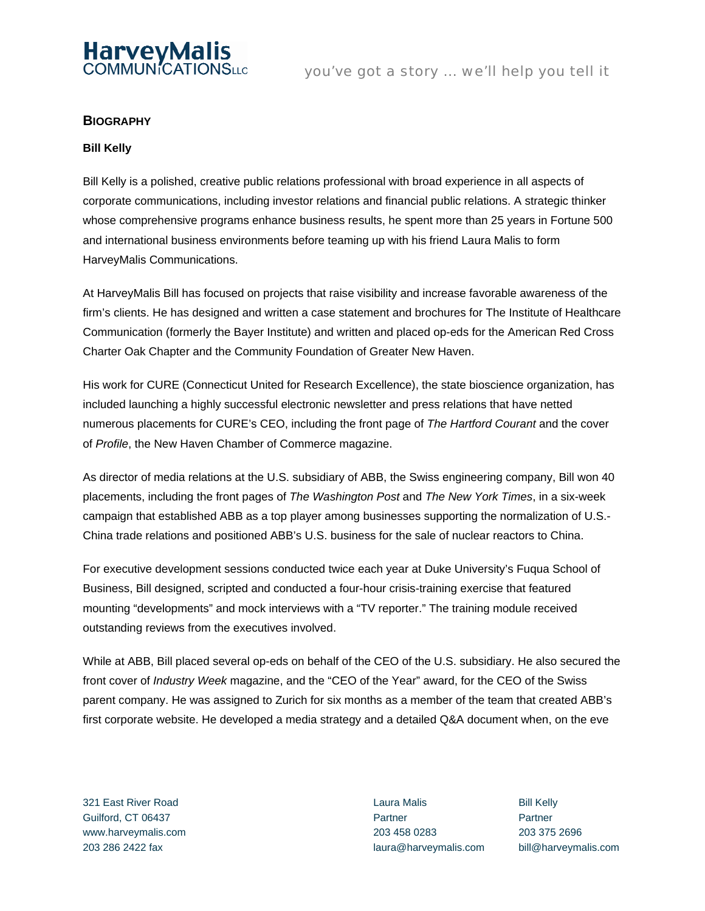

## **BIOGRAPHY**

## **Bill Kelly**

Bill Kelly is a polished, creative public relations professional with broad experience in all aspects of corporate communications, including investor relations and financial public relations. A strategic thinker whose comprehensive programs enhance business results, he spent more than 25 years in Fortune 500 and international business environments before teaming up with his friend Laura Malis to form HarveyMalis Communications.

At HarveyMalis Bill has focused on projects that raise visibility and increase favorable awareness of the firm's clients. He has designed and written a case statement and brochures for The Institute of Healthcare Communication (formerly the Bayer Institute) and written and placed op-eds for the American Red Cross Charter Oak Chapter and the Community Foundation of Greater New Haven.

His work for CURE (Connecticut United for Research Excellence), the state bioscience organization, has included launching a highly successful electronic newsletter and press relations that have netted numerous placements for CURE's CEO, including the front page of *The Hartford Courant* and the cover of *Profile*, the New Haven Chamber of Commerce magazine.

As director of media relations at the U.S. subsidiary of ABB, the Swiss engineering company, Bill won 40 placements, including the front pages of *The Washington Post* and *The New York Times*, in a six-week campaign that established ABB as a top player among businesses supporting the normalization of U.S.- China trade relations and positioned ABB's U.S. business for the sale of nuclear reactors to China.

For executive development sessions conducted twice each year at Duke University's Fuqua School of Business, Bill designed, scripted and conducted a four-hour crisis-training exercise that featured mounting "developments" and mock interviews with a "TV reporter." The training module received outstanding reviews from the executives involved.

While at ABB, Bill placed several op-eds on behalf of the CEO of the U.S. subsidiary. He also secured the front cover of *Industry Week* magazine, and the "CEO of the Year" award, for the CEO of the Swiss parent company. He was assigned to Zurich for six months as a member of the team that created ABB's first corporate website. He developed a media strategy and a detailed Q&A document when, on the eve

321 East River Road Guilford, CT 06437 www.harveymalis.com

Laura Malis Partner 203 458 0283 203 286 2422 fax laura@harveymalis.com bill@harveymalis.com

Bill Kelly **Partner** 203 375 2696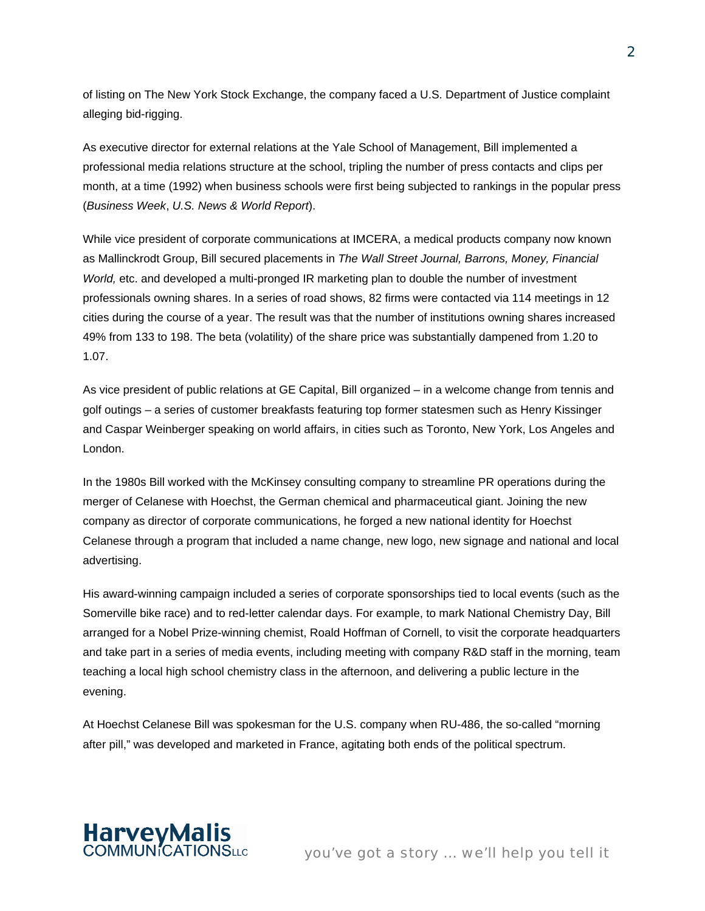of listing on The New York Stock Exchange, the company faced a U.S. Department of Justice complaint alleging bid-rigging.

As executive director for external relations at the Yale School of Management, Bill implemented a professional media relations structure at the school, tripling the number of press contacts and clips per month, at a time (1992) when business schools were first being subjected to rankings in the popular press (*Business Week*, *U.S. News & World Report*).

While vice president of corporate communications at IMCERA, a medical products company now known as Mallinckrodt Group, Bill secured placements in *The Wall Street Journal, Barrons, Money, Financial World,* etc. and developed a multi-pronged IR marketing plan to double the number of investment professionals owning shares. In a series of road shows, 82 firms were contacted via 114 meetings in 12 cities during the course of a year. The result was that the number of institutions owning shares increased 49% from 133 to 198. The beta (volatility) of the share price was substantially dampened from 1.20 to 1.07.

As vice president of public relations at GE Capital, Bill organized – in a welcome change from tennis and golf outings – a series of customer breakfasts featuring top former statesmen such as Henry Kissinger and Caspar Weinberger speaking on world affairs, in cities such as Toronto, New York, Los Angeles and London.

In the 1980s Bill worked with the McKinsey consulting company to streamline PR operations during the merger of Celanese with Hoechst, the German chemical and pharmaceutical giant. Joining the new company as director of corporate communications, he forged a new national identity for Hoechst Celanese through a program that included a name change, new logo, new signage and national and local advertising.

His award-winning campaign included a series of corporate sponsorships tied to local events (such as the Somerville bike race) and to red-letter calendar days. For example, to mark National Chemistry Day, Bill arranged for a Nobel Prize-winning chemist, Roald Hoffman of Cornell, to visit the corporate headquarters and take part in a series of media events, including meeting with company R&D staff in the morning, team teaching a local high school chemistry class in the afternoon, and delivering a public lecture in the evening.

At Hoechst Celanese Bill was spokesman for the U.S. company when RU-486, the so-called "morning after pill," was developed and marketed in France, agitating both ends of the political spectrum.